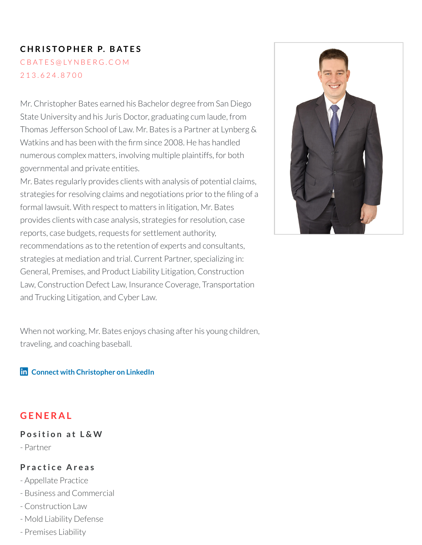## **C H R I S TO P H E R P. B AT E S**

C B [AT](mailto:cbates@lynberg.com) E S @ LY N B E R G . C O M [2](tel:213.624.8700) 1 3 . 6 2 4 . 8 7 0 0

Mr. Christopher Bates earned his Bachelor degree from San Diego State University and his Juris Doctor, graduating cum laude, from Thomas Jefferson School of Law. Mr. Bates is a Partner at Lynberg & Watkins and has been with the firm since 2008. He has handled numerous complex matters, involving multiple plaintiffs, for both governmental and private entities.

Mr. Bates regularly provides clients with analysis of potential claims, strategies for resolving claims and negotiations prior to the filing of a formal lawsuit. With respect to matters in litigation, Mr. Bates provides clients with case analysis, strategies forresolution, case reports, case budgets, requests for settlement authority, recommendations as to the retention of experts and consultants, strategies at mediation and trial. Current Partner, specializing in: General, Premises, and Product Liability Litigation, Construction Law, Construction Defect Law, Insurance Coverage, Transportation and Trucking Litigation, and Cyber Law.

When not working, Mr. Bates enjoys chasing after his young children, traveling, and coaching baseball.

**Connect with [Christopher](https://www.linkedin.com/in/christopher-bates-3473203b/) on LinkedIn**

## **G E N E R A L**

#### **P o s iti o n a t L & W**

- Partner

#### **P r a c ti c e A r e a s**

- Appellate Practice

- Business and Commercial
- Construction Law
- Mold Liability Defense
- Premises Liability